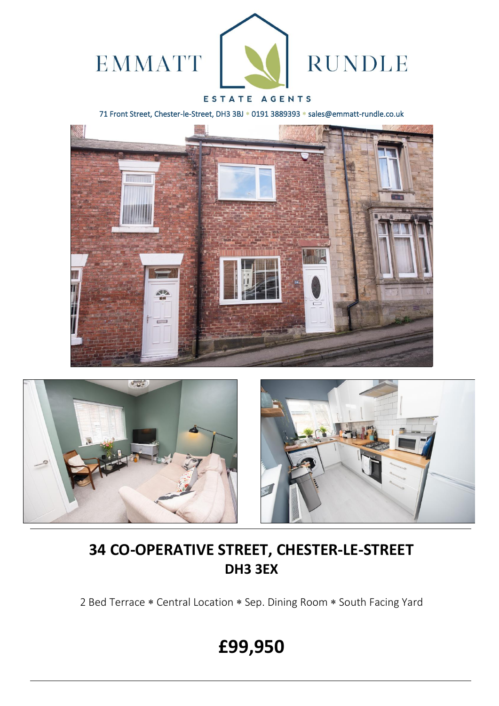

## ESTATE AGENTS

71 Front Street, Chester-le-Street, DH3 3BJ \* 0191 3889393 \* sales@emmatt-rundle.co.uk





## **34 CO-OPERATIVE STREET, CHESTER-LE-STREET DH3 3EX**

2 Bed Terrace \* Central Location \* Sep. Dining Room \* South Facing Yard

# **£99,950**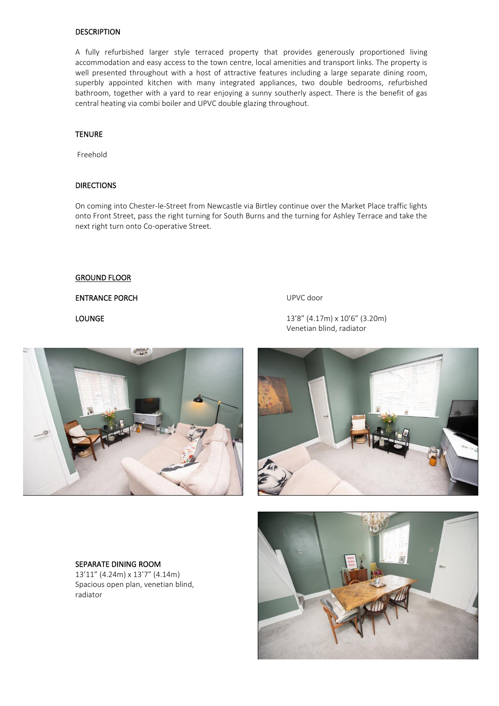#### **DESCRIPTION**

A fully refurbished larger style terraced property that provides generously proportioned living accommodation and easy access to the town centre, local amenities and transport links. The property is well presented throughout with a host of attractive features including a large separate dining room, superbly appointed kitchen with many integrated appliances, two double bedrooms, refurbished bathroom, together with a yard to rear enjoying a sunny southerly aspect. There is the benefit of gas central heating via combi boiler and UPVC double glazing throughout.

#### **TENURE**

Freehold

#### **DIRECTIONS**

On coming into Chester-le-Street from Newcastle via Birtley continue over the Market Place traffic lights onto Front Street, pass the right turning for South Burns and the turning for Ashley Terrace and take the next right turn onto Co-operative Street.

#### GROUND FLOOR

#### ENTRANCE PORCH UPVC door

LOUNGE 13'8" (4.17m) x 10'6" (3.20m) Venetian blind, radiator





## SEPARATE DINING ROOM

13'11" (4.24m) x 13'7" (4.14m) Spacious open plan, venetian blind, radiator

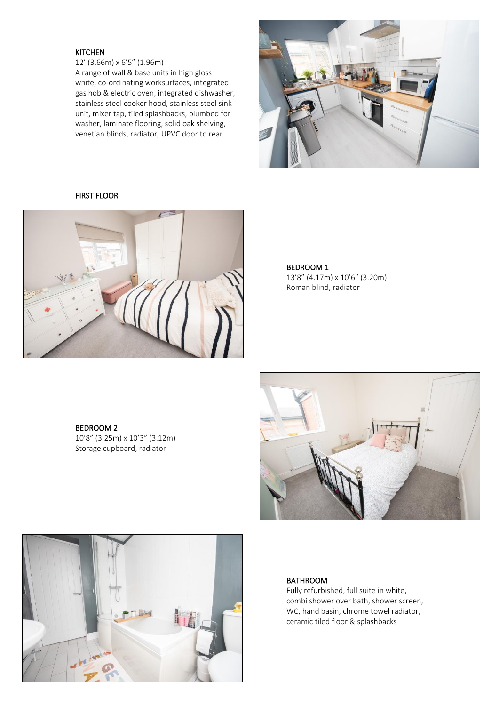#### KITCHEN

12' (3.66m) x 6'5" (1.96m) A range of wall & base units in high gloss white, co-ordinating worksurfaces, integrated gas hob & electric oven, integrated dishwasher, stainless steel cooker hood, stainless steel sink unit, mixer tap, tiled splashbacks, plumbed for washer, laminate flooring, solid oak shelving, venetian blinds, radiator, UPVC door to rear



#### FIRST FLOOR



#### BEDROOM 1

13'8" (4.17m) x 10'6" (3.20m) Roman blind, radiator

## BEDROOM 2

10'8" (3.25m) x 10'3" (3.12m) Storage cupboard, radiator





## BATHROOM

 Fully refurbished, full suite in white, combi shower over bath, shower screen, WC, hand basin, chrome towel radiator, ceramic tiled floor & splashbacks